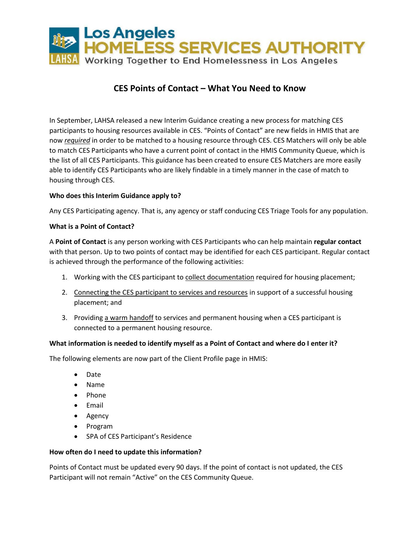

# **CES Points of Contact – What You Need to Know**

In September, LAHSA released a new Interim Guidance creating a new process for matching CES participants to housing resources available in CES. "Points of Contact" are new fields in HMIS that are now *required* in order to be matched to a housing resource through CES. CES Matchers will only be able to match CES Participants who have a current point of contact in the HMIS Community Queue, which is the list of all CES Participants. This guidance has been created to ensure CES Matchers are more easily able to identify CES Participants who are likely findable in a timely manner in the case of match to housing through CES.

# **Who does this Interim Guidance apply to?**

Any CES Participating agency. That is, any agency or staff conducing CES Triage Tools for any population.

### **What is a Point of Contact?**

A **Point of Contact** is any person working with CES Participants who can help maintain **regular contact** with that person. Up to two points of contact may be identified for each CES participant. Regular contact is achieved through the performance of the following activities:

- 1. Working with the CES participant to collect documentation required for housing placement;
- 2. Connecting the CES participant to services and resources in support of a successful housing placement; and
- 3. Providing a warm handoff to services and permanent housing when a CES participant is connected to a permanent housing resource.

### **What information is needed to identify myself as a Point of Contact and where do I enter it?**

The following elements are now part of the Client Profile page in HMIS:

- Date
- Name
- Phone
- Email
- Agency
- Program
- SPA of CES Participant's Residence

### **How often do I need to update this information?**

Points of Contact must be updated every 90 days. If the point of contact is not updated, the CES Participant will not remain "Active" on the CES Community Queue.